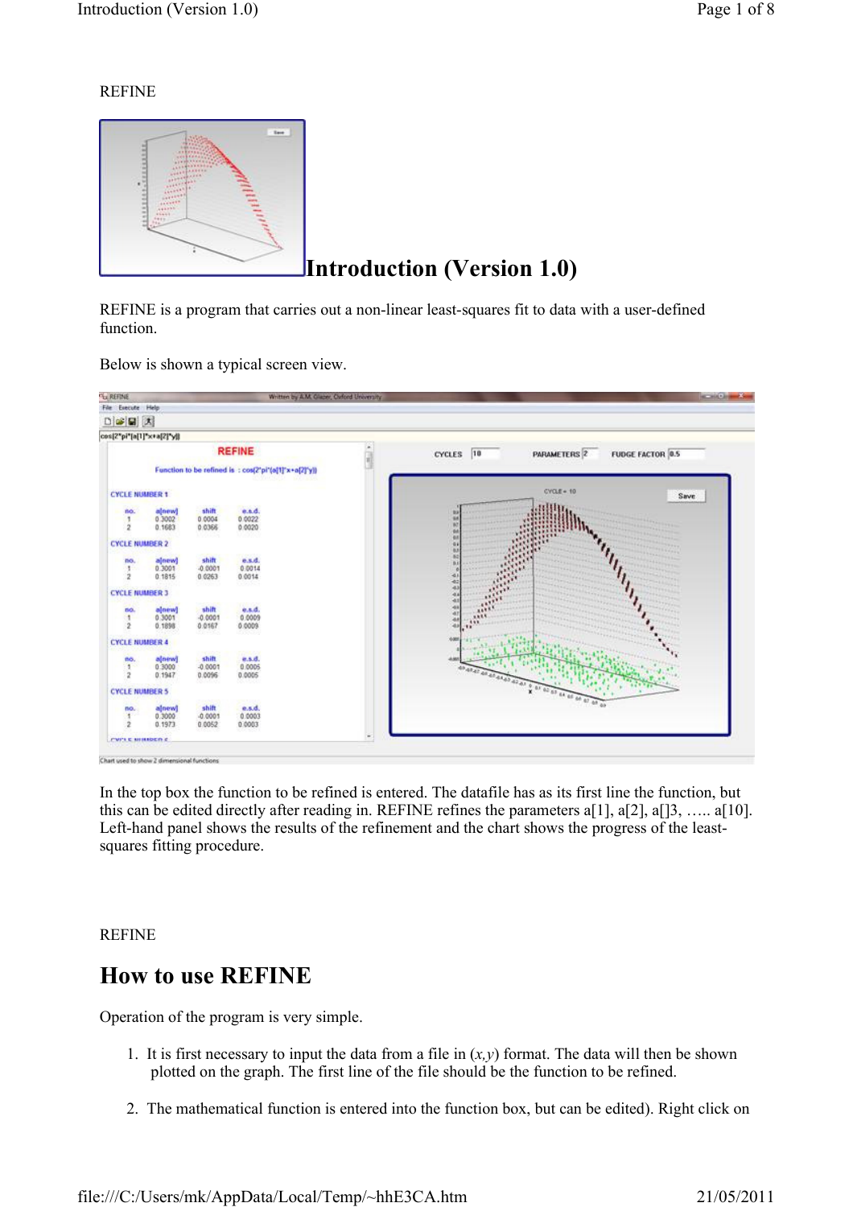#### REFINE



REFINE is a program that carries out a non-linear least-squares fit to data with a user-defined function.

Below is shown a typical screen view.



In the top box the function to be refined is entered. The datafile has as its first line the function, but this can be edited directly after reading in. REFINE refines the parameters a[1], a[2], a[]3, ….. a[10]. Left-hand panel shows the results of the refinement and the chart shows the progress of the leastsquares fitting procedure.

REFINE

## How to use REFINE

Operation of the program is very simple.

- 1. It is first necessary to input the data from a file in  $(x, y)$  format. The data will then be shown plotted on the graph. The first line of the file should be the function to be refined.
- 2. The mathematical function is entered into the function box, but can be edited). Right click on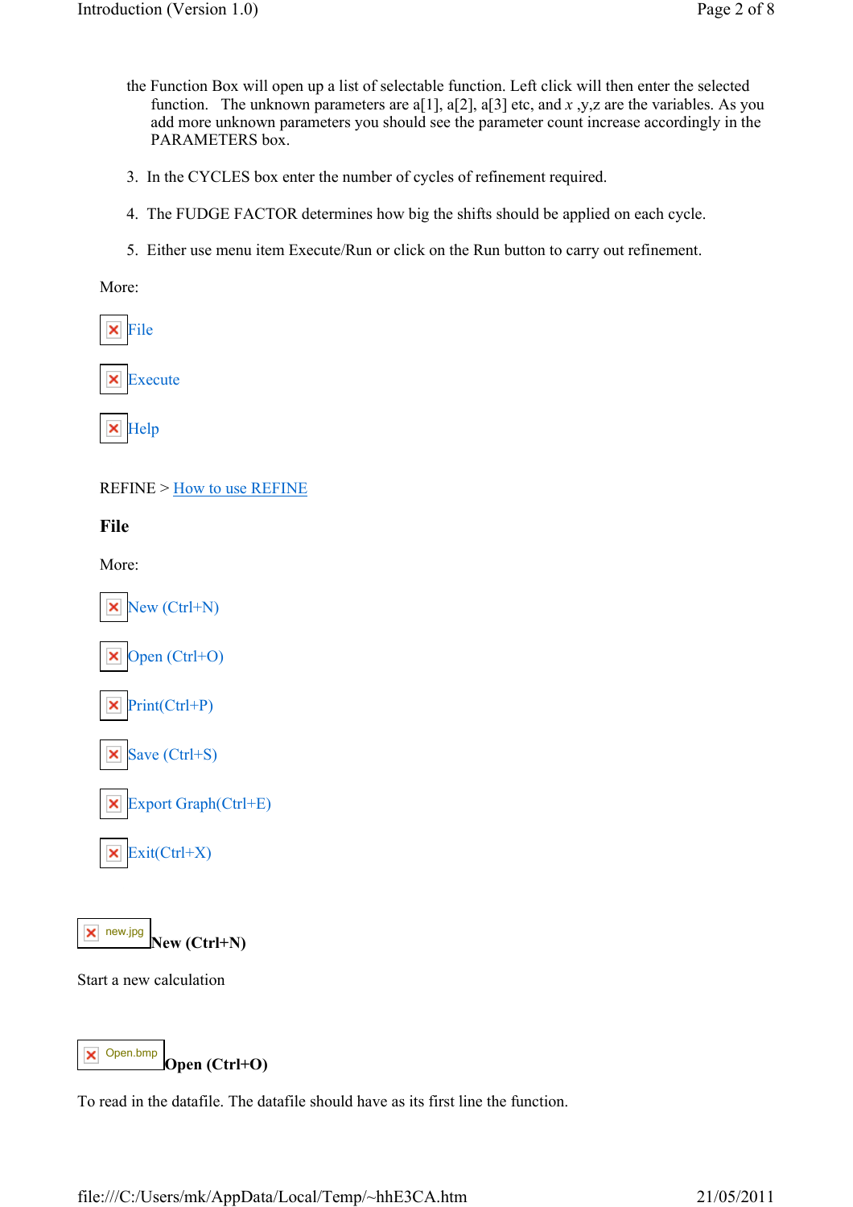- the Function Box will open up a list of selectable function. Left click will then enter the selected function. The unknown parameters are a[1], a[2], a[3] etc, and x, y, z are the variables. As you add more unknown parameters you should see the parameter count increase accordingly in the PARAMETERS box.
- 3. In the CYCLES box enter the number of cycles of refinement required.
- 4. The FUDGE FACTOR determines how big the shifts should be applied on each cycle.
- 5. Either use menu item Execute/Run or click on the Run button to carry out refinement.

More:

File

Execute

× Help

REFINE > How to use REFINE

File

More:





Start a new calculation

Open (Ctrl+O) Open.bmp

To read in the datafile. The datafile should have as its first line the function.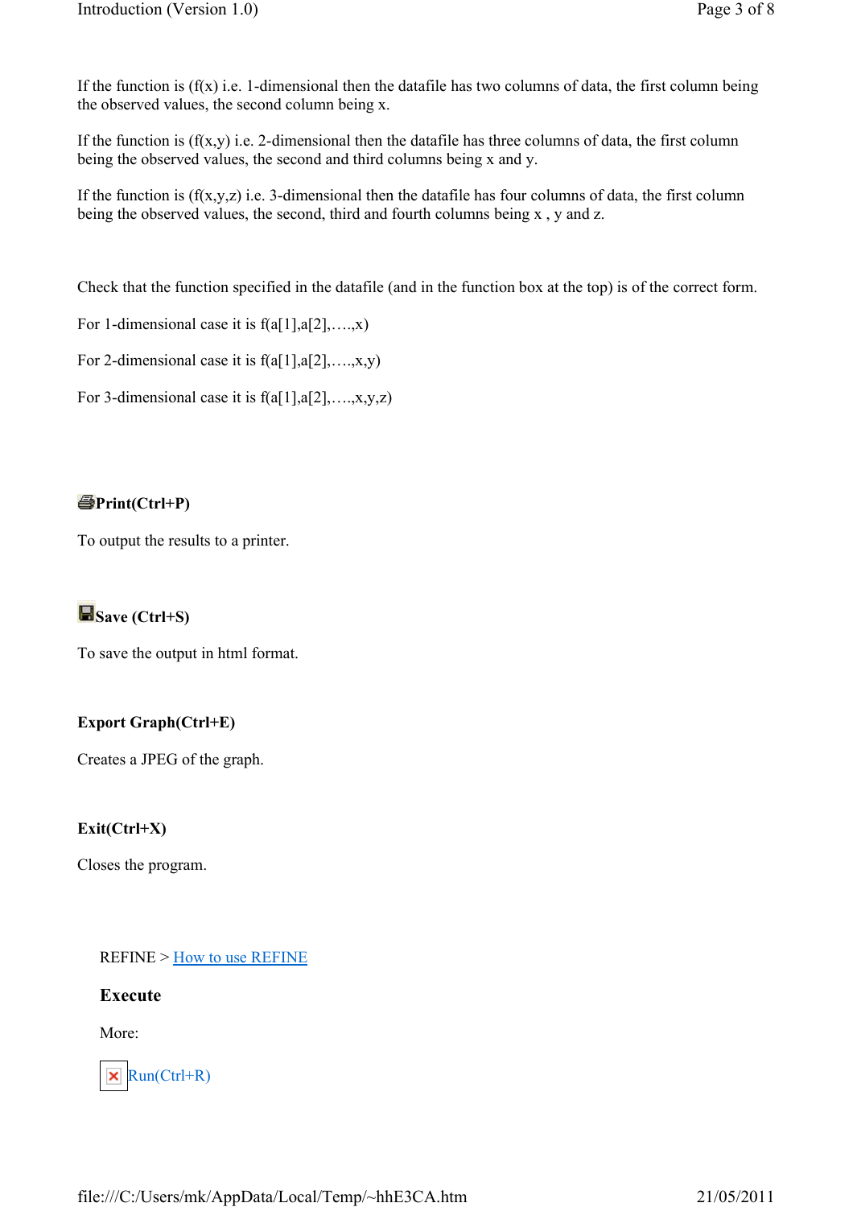If the function is  $(f(x))$  i.e. 1-dimensional then the datafile has two columns of data, the first column being the observed values, the second column being x.

If the function is  $(f(x,y)$  i.e. 2-dimensional then the datafile has three columns of data, the first column being the observed values, the second and third columns being x and y.

If the function is  $(f(x,y,z))$  i.e. 3-dimensional then the datafile has four columns of data, the first column being the observed values, the second, third and fourth columns being x , y and z.

Check that the function specified in the datafile (and in the function box at the top) is of the correct form.

For 1-dimensional case it is  $f(a[1], a[2], \ldots, x)$ 

For 2-dimensional case it is  $f(a[1], a[2], \ldots, x, y)$ 

For 3-dimensional case it is  $f(a[1], a[2], \ldots, x, y, z)$ 

## $\bigcirc$ Print(Ctrl+P)

To output the results to a printer.

## Save (Ctrl+S)

To save the output in html format.

## Export Graph(Ctrl+E)

Creates a JPEG of the graph.

### Exit(Ctrl+X)

Closes the program.

REFINE > How to use REFINE

### Execute

More:

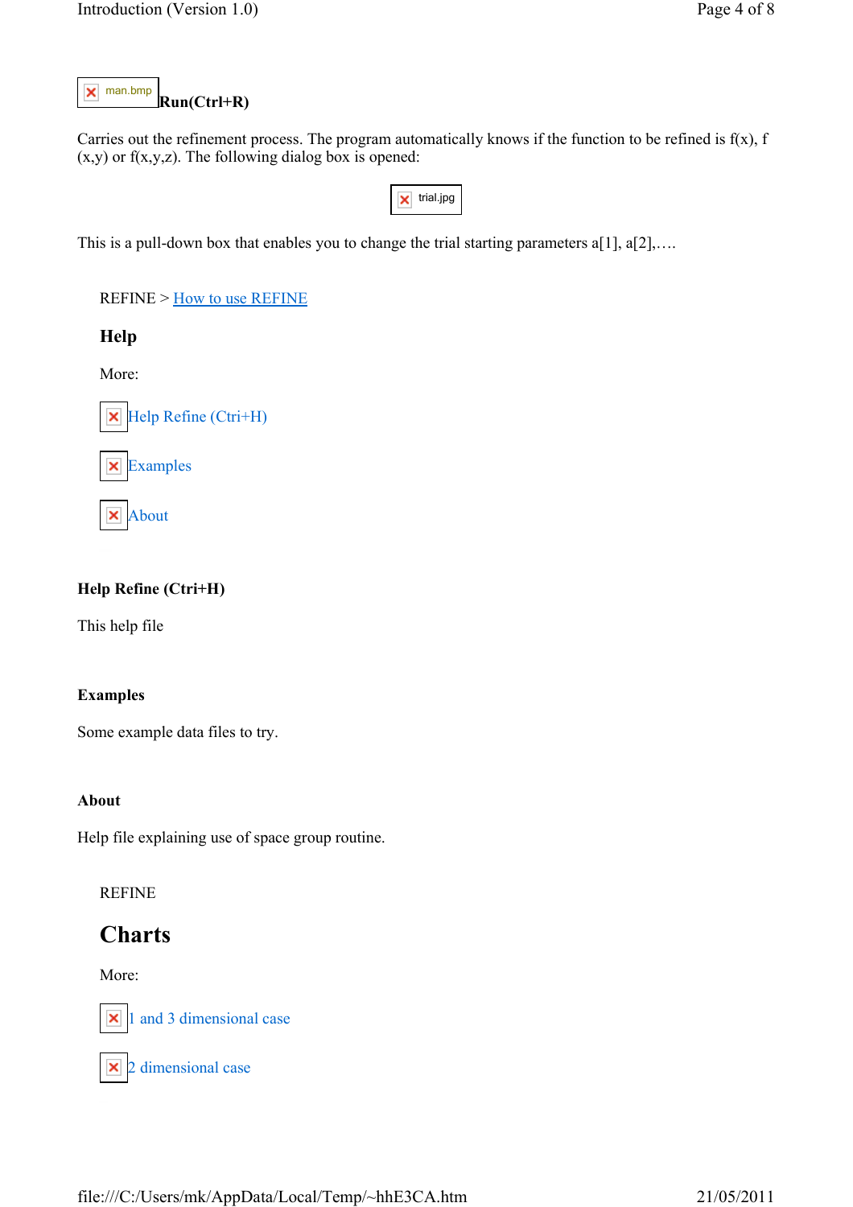#### Run(Ctrl+R) man.bmp

Carries out the refinement process. The program automatically knows if the function to be refined is  $f(x)$ , f  $(x,y)$  or  $f(x,y,z)$ . The following dialog box is opened:

**x** trial.jpg

This is a pull-down box that enables you to change the trial starting parameters a[1], a[2],...

REFINE > How to use REFINE

Help

More:

 $\blacktriangleright$  Help Refine (Ctri+H)

Examples



### Help Refine (Ctri+H)

This help file

#### Examples

Some example data files to try.

#### About

Help file explaining use of space group routine.

#### REFINE

## Charts

More:



1 and 3 dimensional case

 $\times$  2 dimensional case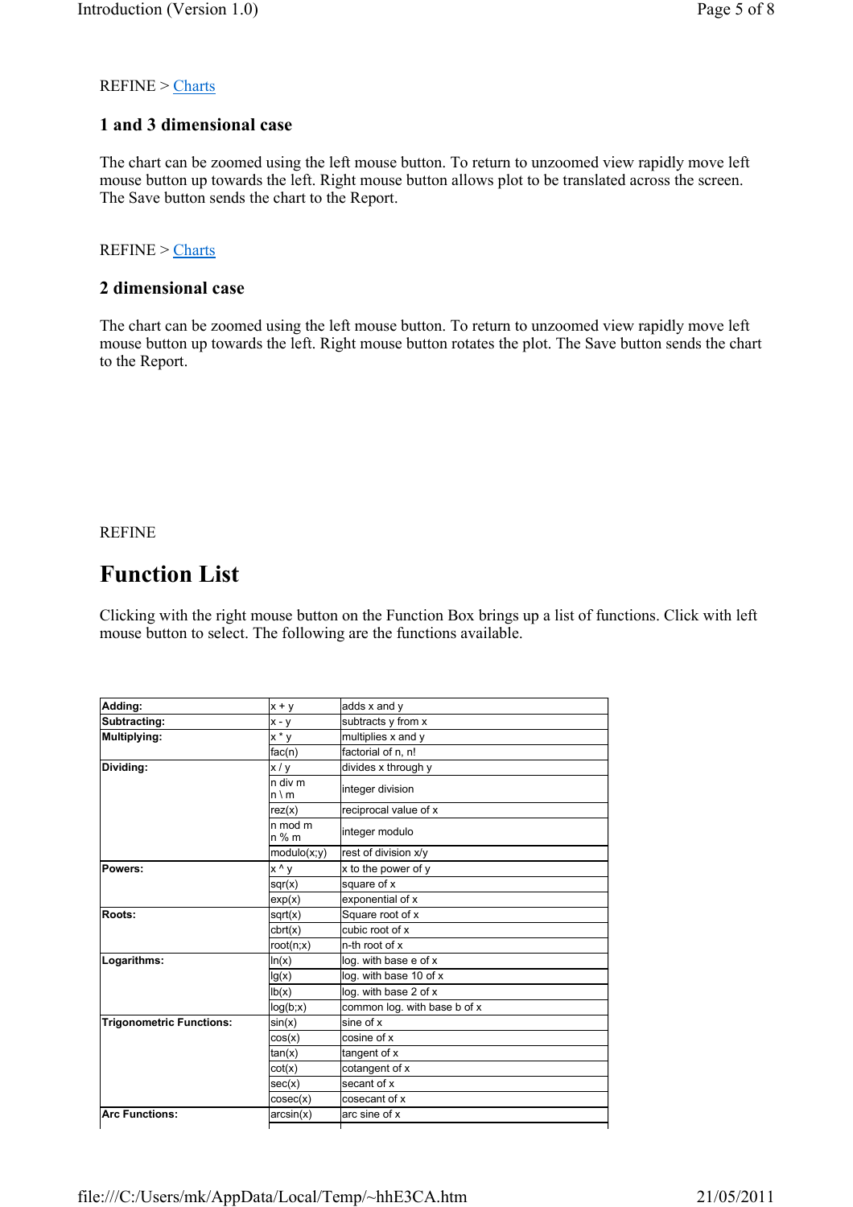#### REFINE > Charts

### 1 and 3 dimensional case

The chart can be zoomed using the left mouse button. To return to unzoomed view rapidly move left mouse button up towards the left. Right mouse button allows plot to be translated across the screen. The Save button sends the chart to the Report.

#### REFINE > Charts

#### 2 dimensional case

The chart can be zoomed using the left mouse button. To return to unzoomed view rapidly move left mouse button up towards the left. Right mouse button rotates the plot. The Save button sends the chart to the Report.

REFINE

## Function List

Clicking with the right mouse button on the Function Box brings up a list of functions. Click with left mouse button to select. The following are the functions available.

| Adding:                         | $x + y$                 | adds x and y                 |
|---------------------------------|-------------------------|------------------------------|
| Subtracting:                    | $x - y$                 | subtracts y from x           |
| Multiplying:                    | $x * y$                 | multiplies x and y           |
|                                 | fac(n)                  | factorial of n, n!           |
| Dividing:                       | x/y                     | divides x through y          |
|                                 | n div m<br>$n \wedge m$ | integer division             |
|                                 | rez(x)                  | reciprocal value of x        |
|                                 | n mod m<br>n % m        | integer modulo               |
|                                 | modulo(x; y)            | rest of division x/y         |
| Powers:                         | x ^ y                   | x to the power of y          |
|                                 | sqrt(x)                 | square of x                  |
|                                 | exp(x)                  | exponential of x             |
| Roots:                          | sqrt(x)                 | Square root of x             |
|                                 | cbrt(x)                 | cubic root of x              |
|                                 | root(n;x)               | n-th root of x               |
| Logarithms:                     | ln(x)                   | log. with base e of x        |
|                                 | lg(x)                   | log. with base 10 of x       |
|                                 | lb(x)                   | log. with base 2 of x        |
|                                 | log(b; x)               | common log. with base b of x |
| <b>Trigonometric Functions:</b> | sin(x)                  | sine of x                    |
|                                 | cos(x)                  | cosine of x                  |
|                                 | tan(x)                  | tangent of x                 |
|                                 | cot(x)                  | cotangent of x               |
|                                 | sec(x)                  | secant of x                  |
|                                 | cosec(x)                | cosecant of x                |
| <b>Arc Functions:</b>           | arcsin(x)               | arc sine of x                |
|                                 |                         |                              |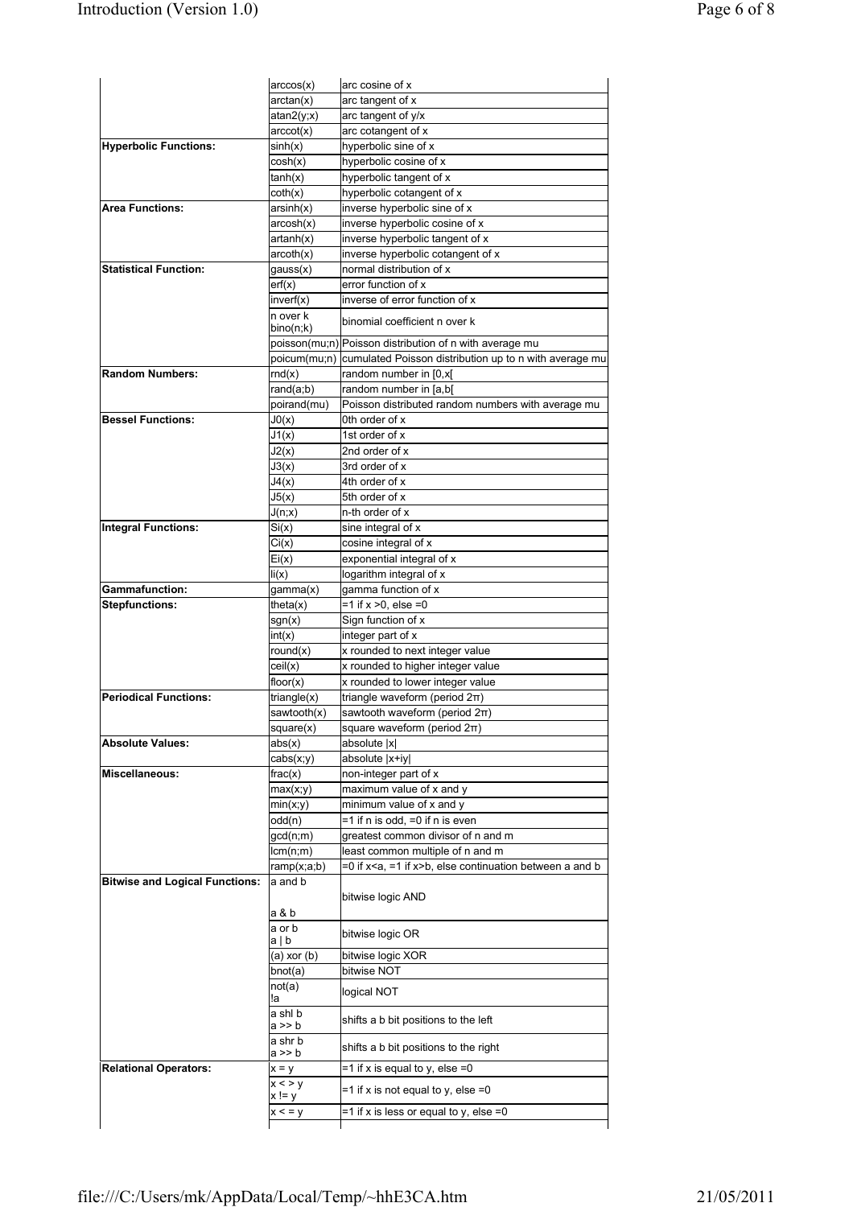|                                       | arccos(x)                | arc cosine of x                                                                          |
|---------------------------------------|--------------------------|------------------------------------------------------------------------------------------|
|                                       | arctan(x)                | arc tangent of x                                                                         |
|                                       | atan2(y; x)              | arc tangent of y/x                                                                       |
|                                       | arccot(x)                | arc cotangent of x                                                                       |
| <b>Hyperbolic Functions:</b>          | sinh(x)                  | hyperbolic sine of x                                                                     |
|                                       | cosh(x)                  | hyperbolic cosine of x                                                                   |
|                                       | tanh(x)                  | hyperbolic tangent of x                                                                  |
|                                       | coth(x)                  | hyperbolic cotangent of x                                                                |
| <b>Area Functions:</b>                | arsinh(x)                | inverse hyperbolic sine of x                                                             |
|                                       | arcosh(x)                | inverse hyperbolic cosine of x                                                           |
|                                       | artanh(x)                | inverse hyperbolic tangent of x                                                          |
|                                       | arcoth(x)                | inverse hyperbolic cotangent of x                                                        |
| <b>Statistical Function:</b>          | gauss(x)                 | normal distribution of x                                                                 |
|                                       | erf(x)                   | error function of x                                                                      |
|                                       | inverf(x)                | inverse of error function of x                                                           |
|                                       | n over k<br>bino(n;k)    | binomial coefficient n over k                                                            |
|                                       |                          | poisson(mu;n) Poisson distribution of n with average mu                                  |
|                                       | poicum(mu;n)             | cumulated Poisson distribution up to n with average mu                                   |
| <b>Random Numbers:</b>                | rnd(x)                   | random number in [0,x[                                                                   |
|                                       | rand(a;b)                | random number in [a,b]                                                                   |
|                                       | poirand(mu)              | Poisson distributed random numbers with average mu                                       |
| <b>Bessel Functions:</b>              | J0(x)                    | 0th order of x                                                                           |
|                                       | J1(x)                    | 1st order of x                                                                           |
|                                       | J2(x)                    | 2nd order of x                                                                           |
|                                       | J3(x)                    | 3rd order of x                                                                           |
|                                       | J4(x)                    | 4th order of x                                                                           |
|                                       | J5(x)                    | 5th order of x                                                                           |
|                                       | J(n; x)                  | n-th order of x                                                                          |
| <b>Integral Functions:</b>            | Si(x)                    | sine integral of x                                                                       |
|                                       | Ci(x)                    | cosine integral of x                                                                     |
|                                       | Ei(x)                    | exponential integral of x                                                                |
|                                       | li(x)                    | logarithm integral of x                                                                  |
| Gammafunction:                        | gamma(x)                 | gamma function of x                                                                      |
| Stepfunctions:                        | theta $(x)$              | $= 1$ if x > 0, else = 0                                                                 |
|                                       | sgn(x)                   | Sign function of x                                                                       |
|                                       | int(x)                   | integer part of x                                                                        |
|                                       | round(x)                 | x rounded to next integer value                                                          |
|                                       | ceil(x)                  | x rounded to higher integer value                                                        |
|                                       | floor(x)                 | x rounded to lower integer value                                                         |
| <b>Periodical Functions:</b>          | triangle(x)              | triangle waveform (period $2\pi$ )                                                       |
|                                       | sawtooth(x)              | sawtooth waveform (period 2π)                                                            |
|                                       | square(x)                | square waveform (period 2π)                                                              |
| <b>Absolute Values:</b>               | abs(x)                   | absolute  x                                                                              |
|                                       | cabs(x; y)               | absolute  x+iy                                                                           |
| Miscellaneous:                        | frac(x)                  | non-integer part of x                                                                    |
|                                       | max(x;y)                 | maximum value of x and y                                                                 |
|                                       | min(x; y)                | minimum value of x and y                                                                 |
|                                       | odd(n)                   | =1 if n is odd, =0 if n is even                                                          |
|                                       | gcd(n;m)                 | greatest common divisor of n and m                                                       |
|                                       | lcm(n;m)                 | least common multiple of n and m                                                         |
|                                       | ramp(x;a;b)              | =0 if x <a, =1="" if="" x="">b, else continuation between a and b</a,>                   |
| <b>Bitwise and Logical Functions:</b> | a and b                  |                                                                                          |
|                                       | a & b                    | bitwise logic AND                                                                        |
|                                       | a or b<br>a∣b            | bitwise logic OR                                                                         |
|                                       | (a) xor (b)              | bitwise logic XOR                                                                        |
|                                       | bnot(a)                  | bitwise NOT                                                                              |
|                                       | not(a)                   |                                                                                          |
|                                       |                          | logical NOT                                                                              |
|                                       | !a                       |                                                                                          |
|                                       | a shl b<br>a >> b        | shifts a b bit positions to the left                                                     |
|                                       | a shr b<br>a >> b        | shifts a b bit positions to the right                                                    |
| <b>Relational Operators:</b>          | $x = y$                  | $=1$ if x is equal to y, else $=0$                                                       |
|                                       | x < y<br>x != y<br>x < y | $=$ 1 if x is not equal to y, else $=$ 0<br>$=$ 1 if x is less or equal to y, else $=$ 0 |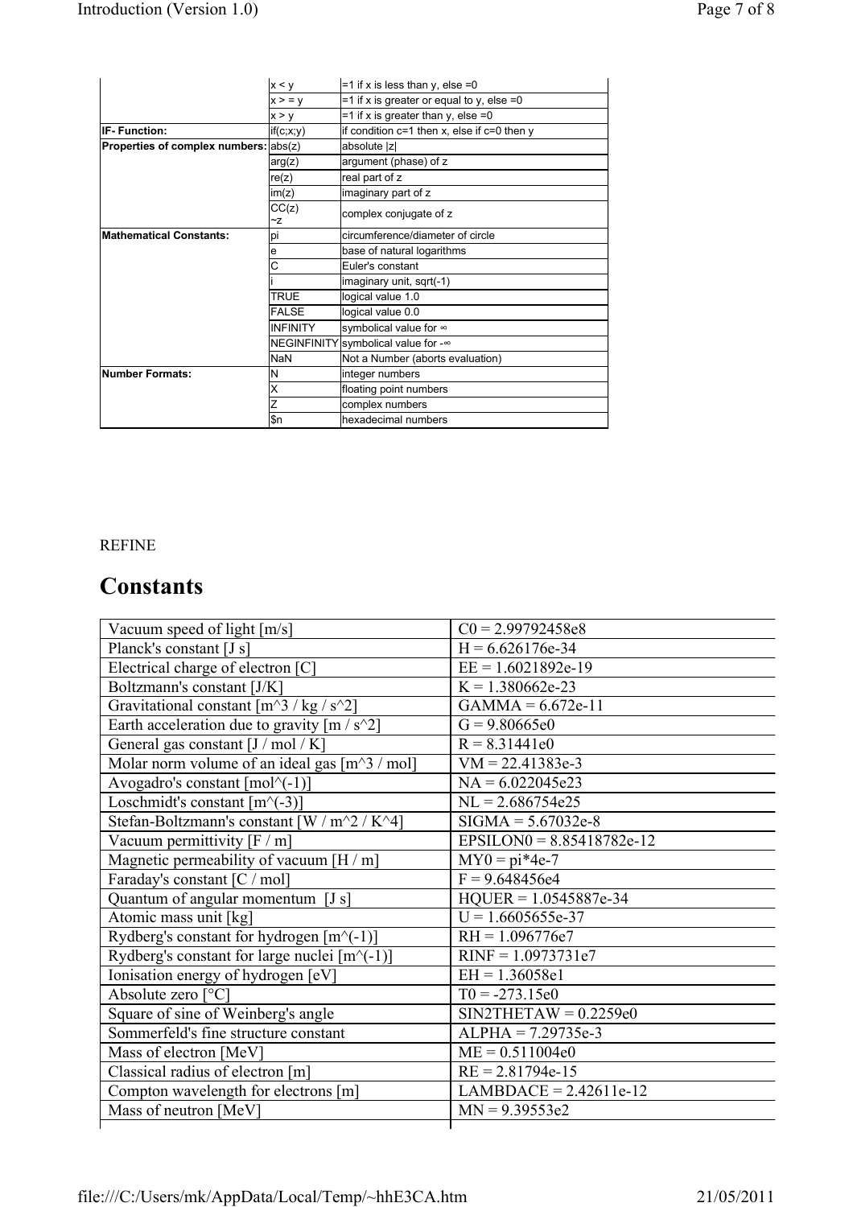|                                       | x < y              | $=$ 1 if x is less than y, else $=$ 0           |
|---------------------------------------|--------------------|-------------------------------------------------|
|                                       | x > v              | $=$ 1 if x is greater or equal to y, else $=$ 0 |
|                                       | x > y              | $=$ 1 if x is greater than y, else $=$ 0        |
| <b>IF-Function:</b>                   | if(c; x; y)        | if condition $c=1$ then x, else if $c=0$ then y |
| Properties of complex numbers: abs(z) |                    | absolute  z                                     |
|                                       | arg(z)             | argument (phase) of z                           |
|                                       | re(z)              | real part of z                                  |
|                                       | im(z)              | imaginary part of z                             |
|                                       | CC(z)<br>~z        | complex conjugate of z                          |
| Mathematical Constants:               | рi                 | circumference/diameter of circle                |
|                                       | е                  | base of natural logarithms                      |
|                                       | Ċ                  | Euler's constant                                |
|                                       |                    | imaginary unit, sqrt(-1)                        |
|                                       | <b>TRUE</b>        | logical value 1.0                               |
|                                       | <b>FALSE</b>       | logical value 0.0                               |
|                                       | <b>INFINITY</b>    | symbolical value for ∞                          |
|                                       | <b>NEGINFINITY</b> | 'symbolical value for -∞                        |
|                                       | <b>NaN</b>         | Not a Number (aborts evaluation)                |
| <b>INumber Formats:</b>               | Ν                  | integer numbers                                 |
|                                       | Χ                  | floating point numbers                          |
|                                       | Z                  | complex numbers                                 |
|                                       | \$n                | hexadecimal numbers                             |

## REFINE

# **Constants**

| Vacuum speed of light [m/s]                                      | $CO = 2.99792458e8$         |
|------------------------------------------------------------------|-----------------------------|
| Planck's constant [J s]                                          | $H = 6.626176e-34$          |
| Electrical charge of electron [C]                                | $EE = 1.6021892e-19$        |
| Boltzmann's constant [J/K]                                       | $K = 1.380662e-23$          |
| Gravitational constant $[m^3 / kg / s^2]$                        | $GAMMA = 6.672e-11$         |
| Earth acceleration due to gravity $[m/s^2]$                      | $G = 9.80665e0$             |
| General gas constant [J / mol / K]                               | $R = 8.31441e0$             |
| Molar norm volume of an ideal gas $[m^3/m_0]$                    | $VM = 22.41383e-3$          |
| Avogadro's constant $\lceil \text{mol}\rangle$ <sup>(-1)</sup> ] | $NA = 6.022045e23$          |
| Loschmidt's constant $[m^{\wedge}(-3)]$                          | $NL = 2.686754e25$          |
| Stefan-Boltzmann's constant [W / m^2 / K^4]                      | $SIGMA = 5.67032e-8$        |
| Vacuum permittivity $[F / m]$                                    | $EPSILON0 = 8.85418782e-12$ |
| Magnetic permeability of vacuum [H / m]                          | $MY0 = pi*4e-7$             |
| Faraday's constant [C / mol]                                     | $F = 9.648456e4$            |
| Quantum of angular momentum [J s]                                | $HQUER = 1.0545887e-34$     |
| Atomic mass unit [kg]                                            | $U = 1.6605655e-37$         |
| Rydberg's constant for hydrogen $[m^{\wedge}(-1)]$               | $RH = 1.096776e7$           |
| Rydberg's constant for large nuclei $[m^{\wedge}(-1)]$           | $RINF = 1.0973731e7$        |
| Ionisation energy of hydrogen [eV]                               | $EH = 1.36058e1$            |
| Absolute zero [°C]                                               | $T0 = -273.15e0$            |
| Square of sine of Weinberg's angle                               | $SIN2THETAW = 0.2259e0$     |
| Sommerfeld's fine structure constant                             | $ALPHA = 7.29735e-3$        |
| Mass of electron [MeV]                                           | $ME = 0.511004e0$           |
| Classical radius of electron [m]                                 | $RE = 2.81794e-15$          |
| Compton wavelength for electrons [m]                             | $LAMBDACE = 2.42611e-12$    |
| Mass of neutron [MeV]                                            | $MN = 9.39553e2$            |
|                                                                  |                             |